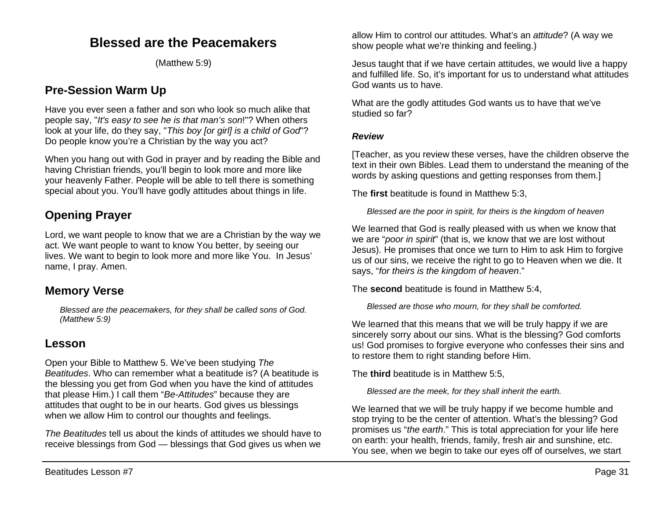## **Blessed are the Peacemakers**

(Matthew 5:9)

## **Pre-Session Warm Up**

Have you ever seen a father and son who look so much alike that people say, "*It's easy to see he is that man's son*!"? When others look at your life, do they say, "*This boy [or girl] is a child of God*"? Do people know you're a Christian by the way you act?

When you hang out with God in prayer and by reading the Bible and having Christian friends, you'll begin to look more and more like your heavenly Father. People will be able to tell there is something special about you. You'll have godly attitudes about things in life.

## **Opening Prayer**

Lord, we want people to know that we are a Christian by the way we act. We want people to want to know You better, by seeing our lives. We want to begin to look more and more like You. In Jesus' name, I pray. Amen.

### **Memory Verse**

*Blessed are the peacemakers, for they shall be called sons of God. (Matthew 5:9)*

### **Lesson**

Open your Bible to Matthew 5. We've been studying *The Beatitudes*. Who can remember what a beatitude is? (A beatitude is the blessing you get from God when you have the kind of attitudes that please Him.) I call them "*Be-Attitudes*" because they are attitudes that ought to be in our hearts. God gives us blessings when we allow Him to control our thoughts and feelings.

*The Beatitudes* tell us about the kinds of attitudes we should have to receive blessings from God — blessings that God gives us when we allow Him to control our attitudes. What's an *attitude*? (A way we show people what we're thinking and feeling.)

Jesus taught that if we have certain attitudes, we would live a happy and fulfilled life. So, it's important for us to understand what attitudes God wants us to have.

What are the godly attitudes God wants us to have that we've studied so far?

#### *Review*

[Teacher, as you review these verses, have the children observe the text in their own Bibles. Lead them to understand the meaning of the words by asking questions and getting responses from them.]

The **first** beatitude is found in Matthew 5:3,

*Blessed are the poor in spirit, for theirs is the kingdom of heaven*

We learned that God is really pleased with us when we know that we are "*poor in spirit*" (that is, we know that we are lost without Jesus). He promises that once we turn to Him to ask Him to forgive us of our sins, we receive the right to go to Heaven when we die. It says, "*for theirs is the kingdom of heaven*."

The **second** beatitude is found in Matthew 5:4,

*Blessed are those who mourn, for they shall be comforted.*

We learned that this means that we will be truly happy if we are sincerely sorry about our sins. What is the blessing? God comforts us! God promises to forgive everyone who confesses their sins and to restore them to right standing before Him.

The **third** beatitude is in Matthew 5:5,

*Blessed are the meek, for they shall inherit the earth.*

We learned that we will be truly happy if we become humble and stop trying to be the center of attention. What's the blessing? God promises us "*the earth*." This is total appreciation for your life here on earth: your health, friends, family, fresh air and sunshine, etc. You see, when we begin to take our eyes off of ourselves, we start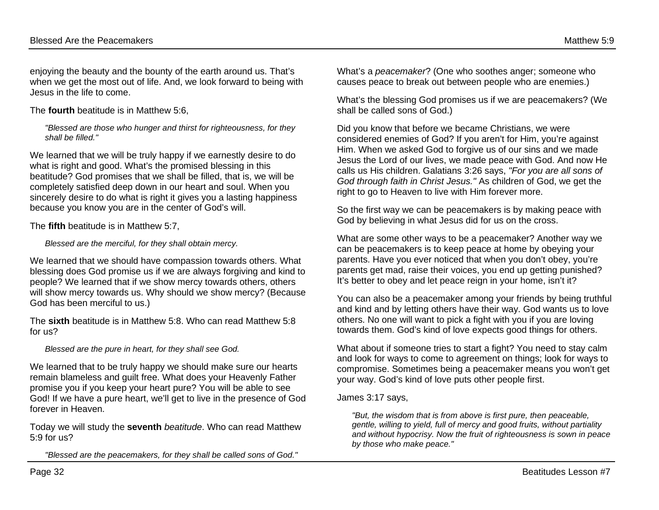enjoying the beauty and the bounty of the earth around us. That's when we get the most out of life. And, we look forward to being with Jesus in the life to come.

The **fourth** beatitude is in Matthew 5:6,

*"Blessed are those who hunger and thirst for righteousness, for they shall be filled."*

We learned that we will be truly happy if we earnestly desire to do what is right and good. What's the promised blessing in this beatitude? God promises that we shall be filled, that is, we will be completely satisfied deep down in our heart and soul. When you sincerely desire to do what is right it gives you a lasting happiness because you know you are in the center of God's will.

The **fifth** beatitude is in Matthew 5:7,

*Blessed are the merciful, for they shall obtain mercy.*

We learned that we should have compassion towards others. What blessing does God promise us if we are always forgiving and kind to people? We learned that if we show mercy towards others, others will show mercy towards us. Why should we show mercy? (Because God has been merciful to us.)

The **sixth** beatitude is in Matthew 5:8. Who can read Matthew 5:8 for us?

*Blessed are the pure in heart, for they shall see God.* 

We learned that to be truly happy we should make sure our hearts remain blameless and guilt free. What does your Heavenly Father promise you if you keep your heart pure? You will be able to see God! If we have a pure heart, we'll get to live in the presence of God forever in Heaven.

Today we will study the **seventh** *beatitude*. Who can read Matthew 5:9 for us?

*"Blessed are the peacemakers, for they shall be called sons of God."*

What's a *peacemaker*? (One who soothes anger; someone who causes peace to break out between people who are enemies.)

What's the blessing God promises us if we are peacemakers? (We shall be called sons of God.)

Did you know that before we became Christians, we were considered enemies of God? If you aren't for Him, you're against Him. When we asked God to forgive us of our sins and we made Jesus the Lord of our lives, we made peace with God. And now He calls us His children. Galatians 3:26 says, *"For you are all sons of God through faith in Christ Jesus."* As children of God, we get the right to go to Heaven to live with Him forever more.

So the first way we can be peacemakers is by making peace with God by believing in what Jesus did for us on the cross.

What are some other ways to be a peacemaker? Another way we can be peacemakers is to keep peace at home by obeying your parents. Have you ever noticed that when you don't obey, you're parents get mad, raise their voices, you end up getting punished? It's better to obey and let peace reign in your home, isn't it?

You can also be a peacemaker among your friends by being truthful and kind and by letting others have their way. God wants us to love others. No one will want to pick a fight with you if you are loving towards them. God's kind of love expects good things for others.

What about if someone tries to start a fight? You need to stay calm and look for ways to come to agreement on things; look for ways to compromise. Sometimes being a peacemaker means you won't get your way. God's kind of love puts other people first.

### James 3:17 says,

*"But, the wisdom that is from above is first pure, then peaceable, gentle, willing to yield, full of mercy and good fruits, without partiality and without hypocrisy. Now the fruit of righteousness is sown in peace by those who make peace."*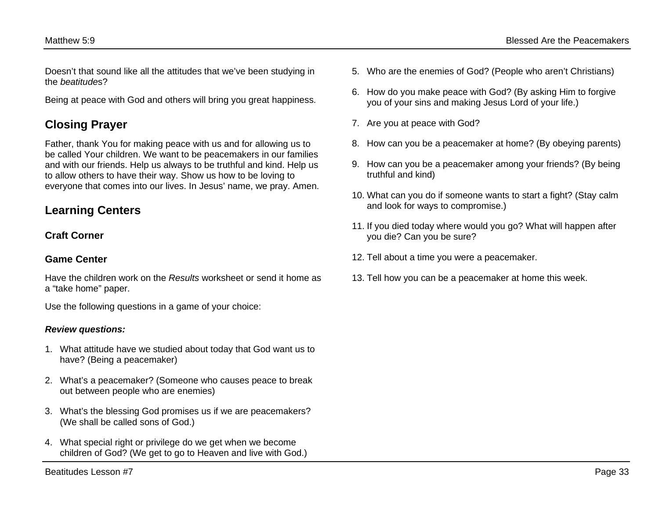Doesn't that sound like all the attitudes that we've been studying in the *beatitude*s?

Being at peace with God and others will bring you great happiness.

# **Closing Prayer**

Father, thank You for making peace with us and for allowing us to be called Your children. We want to be peacemakers in our families and with our friends. Help us always to be truthful and kind. Help us to allow others to have their way. Show us how to be loving to everyone that comes into our lives. In Jesus' name, we pray. Amen.

## **Learning Centers**

### **Craft Corner**

### **Game Center**

Have the children work on the *Results* worksheet or send it home as a "take home" paper.

Use the following questions in a game of your choice:

#### *Review questions:*

- 1. What attitude have we studied about today that God want us to have? (Being a peacemaker)
- 2. What's a peacemaker? (Someone who causes peace to break out between people who are enemies)
- 3. What's the blessing God promises us if we are peacemakers? (We shall be called sons of God.)
- 4. What special right or privilege do we get when we become children of God? (We get to go to Heaven and live with God.)
- 6. How do you make peace with God? (By asking Him to forgive you of your sins and making Jesus Lord of your life.)
- 7. Are you at peace with God?
- 8. How can you be a peacemaker at home? (By obeying parents)
- 9. How can you be a peacemaker among your friends? (By being truthful and kind)
- 10. What can you do if someone wants to start a fight? (Stay calm and look for ways to compromise.)
- 11. If you died today where would you go? What will happen after you die? Can you be sure?
- 12. Tell about a time you were a peacemaker.
- 13. Tell how you can be a peacemaker at home this week.